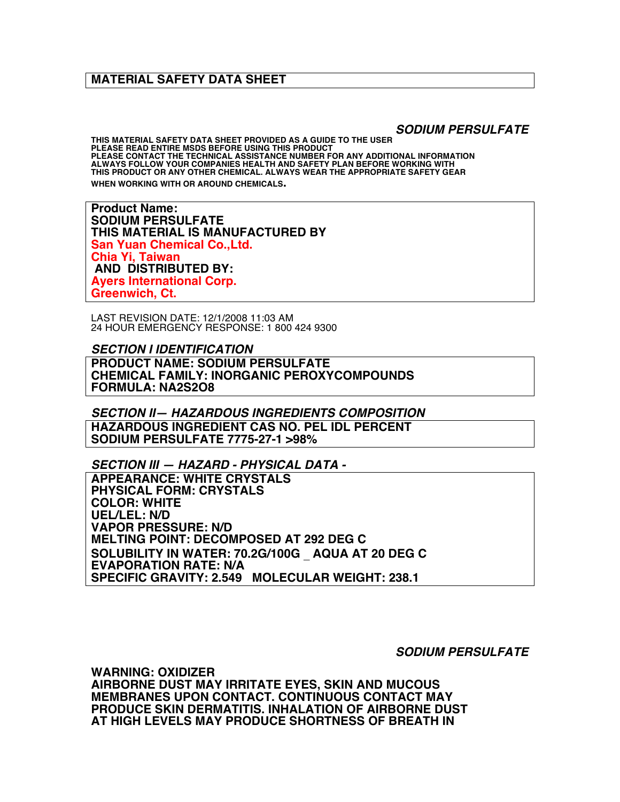## **MATERIAL SAFETY DATA SHEET**

*SODIUM PERSULFATE*

**THIS MATERIAL SAFETY DATA SHEET PROVIDED AS A GUIDE TO THE USER PLEASE READ ENTIRE MSDS BEFORE USING THIS PRODUCT PLEASE CONTACT THE TECHNICAL ASSISTANCE NUMBER FOR ANY ADDITIONAL INFORMATION ALWAYS FOLLOW YOUR COMPANIES HEALTH AND SAFETY PLAN BEFORE WORKING WITH THIS PRODUCT OR ANY OTHER CHEMICAL. ALWAYS WEAR THE APPROPRIATE SAFETY GEAR WHEN WORKING WITH OR AROUND CHEMICALS.**

**Product Name: SODIUM PERSULFATE THIS MATERIAL IS MANUFACTURED BY San Yuan Chemical Co.,Ltd. Chia Yi, Taiwan AND DISTRIBUTED BY: Ayers International Corp. Greenwich, Ct.** 

LAST REVISION DATE: 12/1/2008 11:03 AM 24 HOUR EMERGENCY RESPONSE: 1 800 424 9300

*SECTION I IDENTIFICATION* **PRODUCT NAME: SODIUM PERSULFATE CHEMICAL FAMILY: INORGANIC PEROXYCOMPOUNDS FORMULA: NA2S2O8**

*SECTION II— HAZARDOUS INGREDIENTS COMPOSITION* **HAZARDOUS INGREDIENT CAS NO. PEL IDL PERCENT SODIUM PERSULFATE 7775-27-1 >98%**

*SECTION III — HAZARD - PHYSICAL DATA -*

**APPEARANCE: WHITE CRYSTALS PHYSICAL FORM: CRYSTALS COLOR: WHITE UEL/LEL: N/D VAPOR PRESSURE: N/D MELTING POINT: DECOMPOSED AT 292 DEG C SOLUBILITY IN WATER: 70.2G/100G** \_ **AQUA AT 20 DEG C EVAPORATION RATE: N/A SPECIFIC GRAVITY: 2.549 MOLECULAR WEIGHT: 238.1**

*SODIUM PERSULFATE*

**WARNING: OXIDIZER AIRBORNE DUST MAY IRRITATE EYES, SKIN AND MUCOUS MEMBRANES UPON CONTACT. CONTINUOUS CONTACT MAY PRODUCE SKIN DERMATITIS. INHALATION OF AIRBORNE DUST AT HIGH LEVELS MAY PRODUCE SHORTNESS OF BREATH IN**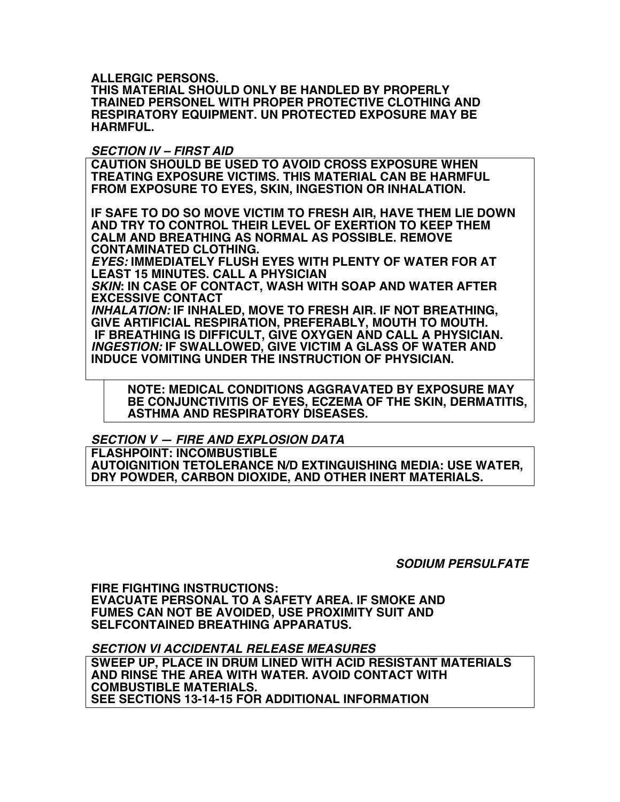**ALLERGIC PERSONS.**

**THIS MATERIAL SHOULD ONLY BE HANDLED BY PROPERLY TRAINED PERSONEL WITH PROPER PROTECTIVE CLOTHING AND RESPIRATORY EQUIPMENT. UN PROTECTED EXPOSURE MAY BE HARMFUL.**

## *SECTION IV – FIRST AID*

**CAUTION SHOULD BE USED TO AVOID CROSS EXPOSURE WHEN TREATING EXPOSURE VICTIMS. THIS MATERIAL CAN BE HARMFUL FROM EXPOSURE TO EYES, SKIN, INGESTION OR INHALATION.**

**IF SAFE TO DO SO MOVE VICTIM TO FRESH AIR, HAVE THEM LIE DOWN AND TRY TO CONTROL THEIR LEVEL OF EXERTION TO KEEP THEM CALM AND BREATHING AS NORMAL AS POSSIBLE. REMOVE CONTAMINATED CLOTHING.**

*EYES:* **IMMEDIATELY FLUSH EYES WITH PLENTY OF WATER FOR AT LEAST 15 MINUTES. CALL A PHYSICIAN**

*SKIN***: IN CASE OF CONTACT, WASH WITH SOAP AND WATER AFTER EXCESSIVE CONTACT**

*INHALATION:* **IF INHALED, MOVE TO FRESH AIR. IF NOT BREATHING, GIVE ARTIFICIAL RESPIRATION, PREFERABLY, MOUTH TO MOUTH. IF BREATHING IS DIFFICULT, GIVE OXYGEN AND CALL A PHYSICIAN.** *INGESTION:* **IF SWALLOWED, GIVE VICTIM A GLASS OF WATER AND INDUCE VOMITING UNDER THE INSTRUCTION OF PHYSICIAN.**

 **NOTE: MEDICAL CONDITIONS AGGRAVATED BY EXPOSURE MAY BE CONJUNCTIVITIS OF EYES, ECZEMA OF THE SKIN, DERMATITIS, ASTHMA AND RESPIRATORY DISEASES.**

*SECTION V — FIRE AND EXPLOSION DATA*

**FLASHPOINT: INCOMBUSTIBLE AUTOIGNITION TETOLERANCE N/D EXTINGUISHING MEDIA: USE WATER, DRY POWDER, CARBON DIOXIDE, AND OTHER INERT MATERIALS.**

*SODIUM PERSULFATE*

**FIRE FIGHTING INSTRUCTIONS: EVACUATE PERSONAL TO A SAFETY AREA. IF SMOKE AND FUMES CAN NOT BE AVOIDED, USE PROXIMITY SUIT AND SELFCONTAINED BREATHING APPARATUS.**

*SECTION VI ACCIDENTAL RELEASE MEASURES* **SWEEP UP, PLACE IN DRUM LINED WITH ACID RESISTANT MATERIALS AND RINSE THE AREA WITH WATER. AVOID CONTACT WITH COMBUSTIBLE MATERIALS. SEE SECTIONS 13-14-15 FOR ADDITIONAL INFORMATION**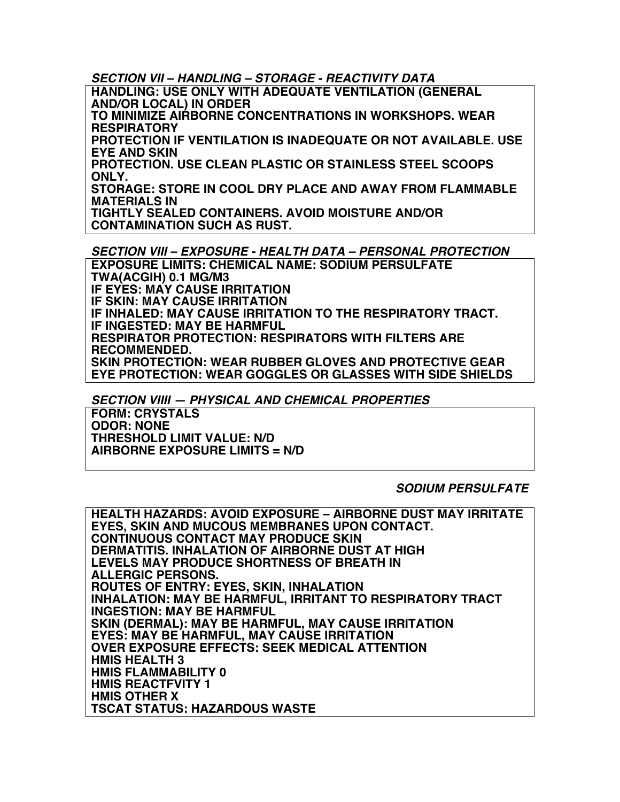*SECTION VII – HANDLING – STORAGE - REACTIVITY DATA*

**HANDLING: USE ONLY WITH ADEQUATE VENTILATION (GENERAL AND/OR LOCAL) IN ORDER**

**TO MINIMIZE AIRBORNE CONCENTRATIONS IN WORKSHOPS. WEAR RESPIRATORY**

**PROTECTION IF VENTILATION IS INADEQUATE OR NOT AVAILABLE. USE EYE AND SKIN**

**PROTECTION. USE CLEAN PLASTIC OR STAINLESS STEEL SCOOPS ONLY.**

**STORAGE: STORE IN COOL DRY PLACE AND AWAY FROM FLAMMABLE MATERIALS IN**

**TIGHTLY SEALED CONTAINERS. AVOID MOISTURE AND/OR CONTAMINATION SUCH AS RUST.**

*SECTION VIII – EXPOSURE - HEALTH DATA – PERSONAL PROTECTION* **EXPOSURE LIMITS: CHEMICAL NAME: SODIUM PERSULFATE**

**TWA(ACGIH) 0.1 MG/M3 IF EYES: MAY CAUSE IRRITATION IF SKIN: MAY CAUSE IRRITATION IF INHALED: MAY CAUSE IRRITATION TO THE RESPIRATORY TRACT. IF INGESTED: MAY BE HARMFUL RESPIRATOR PROTECTION: RESPIRATORS WITH FILTERS ARE RECOMMENDED. SKIN PROTECTION: WEAR RUBBER GLOVES AND PROTECTIVE GEAR EYE PROTECTION: WEAR GOGGLES OR GLASSES WITH SIDE SHIELDS**

*SECTION VIIII — PHYSICAL AND CHEMICAL PROPERTIES*

**FORM: CRYSTALS ODOR: NONE THRESHOLD LIMIT VALUE: N/D AIRBORNE EXPOSURE LIMITS = N/D**

## *SODIUM PERSULFATE*

**HEALTH HAZARDS: AVOID EXPOSURE – AIRBORNE DUST MAY IRRITATE EYES, SKIN AND MUCOUS MEMBRANES UPON CONTACT. CONTINUOUS CONTACT MAY PRODUCE SKIN DERMATITIS. INHALATION OF AIRBORNE DUST AT HIGH LEVELS MAY PRODUCE SHORTNESS OF BREATH IN ALLERGIC PERSONS. ROUTES OF ENTRY: EYES, SKIN, INHALATION INHALATION: MAY BE HARMFUL, IRRITANT TO RESPIRATORY TRACT INGESTION: MAY BE HARMFUL SKIN (DERMAL): MAY BE HARMFUL, MAY CAUSE IRRITATION EYES: MAY BE HARMFUL, MAY CAUSE IRRITATION OVER EXPOSURE EFFECTS: SEEK MEDICAL ATTENTION HMIS HEALTH 3 HMIS FLAMMABILITY 0 HMIS REACTFVITY 1 HMIS OTHER X TSCAT STATUS: HAZARDOUS WASTE**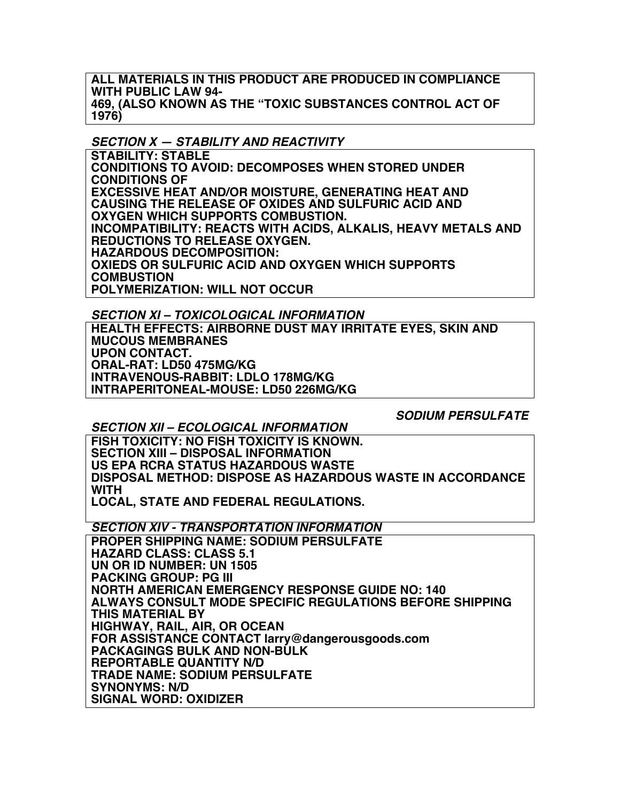**ALL MATERIALS IN THIS PRODUCT ARE PRODUCED IN COMPLIANCE WITH PUBLIC LAW 94- 469, (ALSO KNOWN AS THE "TOXIC SUBSTANCES CONTROL ACT OF 1976)**

## *SECTION X — STABILITY AND REACTIVITY*

**STABILITY: STABLE CONDITIONS TO AVOID: DECOMPOSES WHEN STORED UNDER CONDITIONS OF EXCESSIVE HEAT AND/OR MOISTURE, GENERATING HEAT AND CAUSING THE RELEASE OF OXIDES AND SULFURIC ACID AND OXYGEN WHICH SUPPORTS COMBUSTION. INCOMPATIBILITY: REACTS WITH ACIDS, ALKALIS, HEAVY METALS AND REDUCTIONS TO RELEASE OXYGEN. HAZARDOUS DECOMPOSITION: OXIEDS OR SULFURIC ACID AND OXYGEN WHICH SUPPORTS COMBUSTION POLYMERIZATION: WILL NOT OCCUR**

*SECTION XI – TOXICOLOGICAL INFORMATION*

**HEALTH EFFECTS: AIRBORNE DUST MAY IRRITATE EYES, SKIN AND MUCOUS MEMBRANES UPON CONTACT. ORAL-RAT: LD50 475MG/KG INTRAVENOUS-RABBIT: LDLO 178MG/KG INTRAPERITONEAL-MOUSE: LD50 226MG/KG**

*SODIUM PERSULFATE*

*SECTION XII – ECOLOGICAL INFORMATION*

**FISH TOXICITY: NO FISH TOXICITY IS KNOWN. SECTION XIII – DISPOSAL INFORMATION US EPA RCRA STATUS HAZARDOUS WASTE DISPOSAL METHOD: DISPOSE AS HAZARDOUS WASTE IN ACCORDANCE WITH LOCAL, STATE AND FEDERAL REGULATIONS.**

*SECTION XIV - TRANSPORTATION INFORMATION*

**PROPER SHIPPING NAME: SODIUM PERSULFATE HAZARD CLASS: CLASS 5.1 UN OR ID NUMBER: UN 1505 PACKING GROUP: PG III NORTH AMERICAN EMERGENCY RESPONSE GUIDE NO: 140 ALWAYS CONSULT MODE SPECIFIC REGULATIONS BEFORE SHIPPING THIS MATERIAL BY HIGHWAY, RAIL, AIR, OR OCEAN FOR ASSISTANCE CONTACT larry@dangerousgoods.com PACKAGINGS BULK AND NON-BULK REPORTABLE QUANTITY N/D TRADE NAME: SODIUM PERSULFATE SYNONYMS: N/D SIGNAL WORD: OXIDIZER**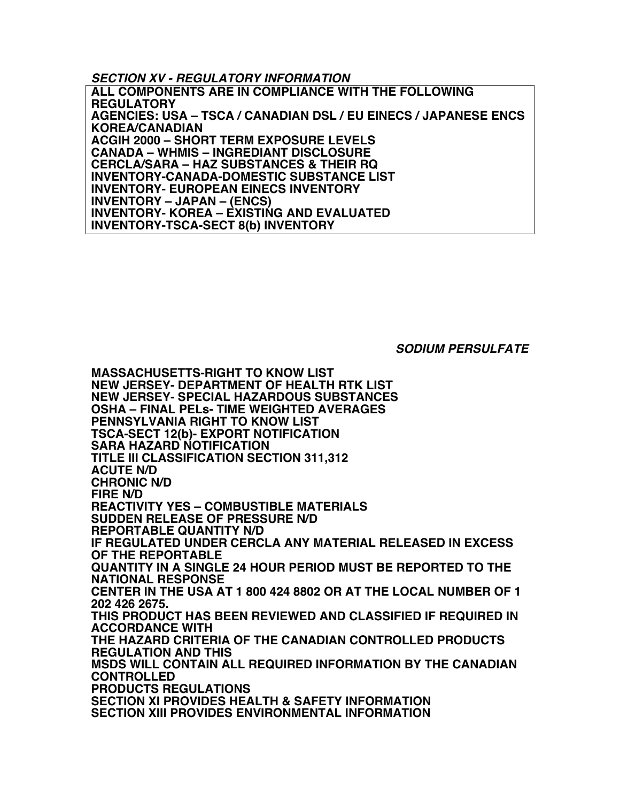*SECTION XV - REGULATORY INFORMATION*

**ALL COMPONENTS ARE IN COMPLIANCE WITH THE FOLLOWING REGULATORY AGENCIES: USA – TSCA / CANADIAN DSL / EU EINECS / JAPANESE ENCS KOREA/CANADIAN ACGIH 2000 – SHORT TERM EXPOSURE LEVELS CANADA – WHMIS – INGREDIANT DISCLOSURE CERCLA/SARA – HAZ SUBSTANCES & THEIR RQ INVENTORY-CANADA-DOMESTIC SUBSTANCE LIST INVENTORY- EUROPEAN EINECS INVENTORY INVENTORY – JAPAN – (ENCS) INVENTORY- KOREA – EXISTING AND EVALUATED INVENTORY-TSCA-SECT 8(b) INVENTORY**

*SODIUM PERSULFATE*

**MASSACHUSETTS-RIGHT TO KNOW LIST NEW JERSEY- DEPARTMENT OF HEALTH RTK LIST NEW JERSEY- SPECIAL HAZARDOUS SUBSTANCES OSHA – FINAL PELs- TIME WEIGHTED AVERAGES PENNSYLVANIA RIGHT TO KNOW LIST TSCA-SECT 12(b)- EXPORT NOTIFICATION SARA HAZARD NOTIFICATION TITLE III CLASSIFICATION SECTION 311,312 ACUTE N/D CHRONIC N/D FIRE N/D REACTIVITY YES – COMBUSTIBLE MATERIALS SUDDEN RELEASE OF PRESSURE N/D REPORTABLE QUANTITY N/D IF REGULATED UNDER CERCLA ANY MATERIAL RELEASED IN EXCESS OF THE REPORTABLE QUANTITY IN A SINGLE 24 HOUR PERIOD MUST BE REPORTED TO THE NATIONAL RESPONSE CENTER IN THE USA AT 1 800 424 8802 OR AT THE LOCAL NUMBER OF 1 202 426 2675. THIS PRODUCT HAS BEEN REVIEWED AND CLASSIFIED IF REQUIRED IN ACCORDANCE WITH THE HAZARD CRITERIA OF THE CANADIAN CONTROLLED PRODUCTS REGULATION AND THIS MSDS WILL CONTAIN ALL REQUIRED INFORMATION BY THE CANADIAN CONTROLLED PRODUCTS REGULATIONS SECTION XI PROVIDES HEALTH & SAFETY INFORMATION SECTION XIII PROVIDES ENVIRONMENTAL INFORMATION**